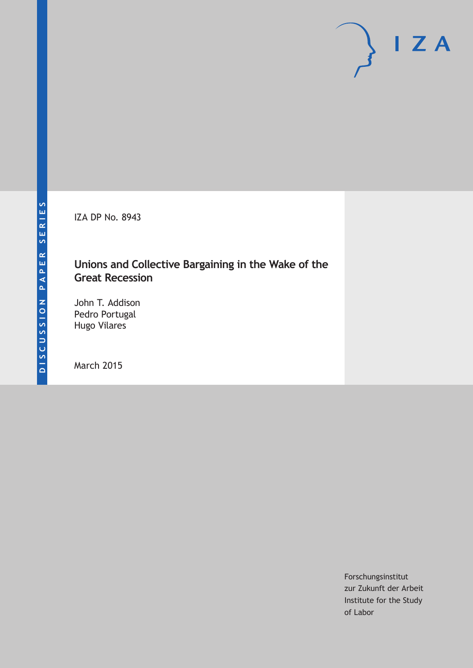IZA DP No. 8943

## **Unions and Collective Bargaining in the Wake of the Great Recession**

John T. Addison Pedro Portugal Hugo Vilares

March 2015

Forschungsinstitut zur Zukunft der Arbeit Institute for the Study of Labor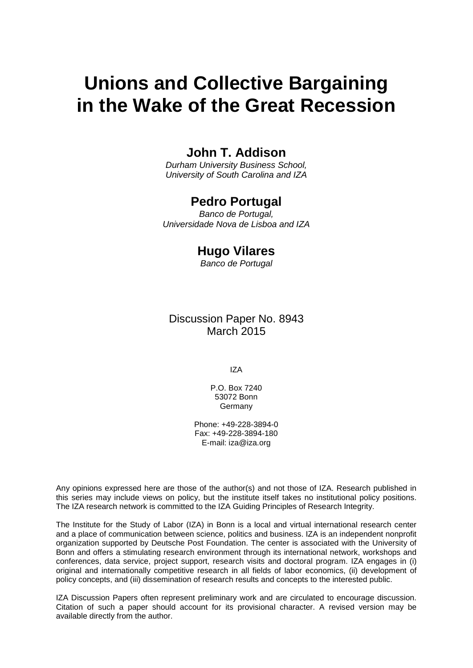# **Unions and Collective Bargaining in the Wake of the Great Recession**

### **John T. Addison**

*Durham University Business School, University of South Carolina and IZA*

### **Pedro Portugal**

*Banco de Portugal, Universidade Nova de Lisboa and IZA*

### **Hugo Vilares**

*Banco de Portugal*

### Discussion Paper No. 8943 March 2015

IZA

P.O. Box 7240 53072 Bonn **Germany** 

Phone: +49-228-3894-0 Fax: +49-228-3894-180 E-mail: iza@iza.org

Any opinions expressed here are those of the author(s) and not those of IZA. Research published in this series may include views on policy, but the institute itself takes no institutional policy positions. The IZA research network is committed to the IZA Guiding Principles of Research Integrity.

The Institute for the Study of Labor (IZA) in Bonn is a local and virtual international research center and a place of communication between science, politics and business. IZA is an independent nonprofit organization supported by Deutsche Post Foundation. The center is associated with the University of Bonn and offers a stimulating research environment through its international network, workshops and conferences, data service, project support, research visits and doctoral program. IZA engages in (i) original and internationally competitive research in all fields of labor economics, (ii) development of policy concepts, and (iii) dissemination of research results and concepts to the interested public.

IZA Discussion Papers often represent preliminary work and are circulated to encourage discussion. Citation of such a paper should account for its provisional character. A revised version may be available directly from the author.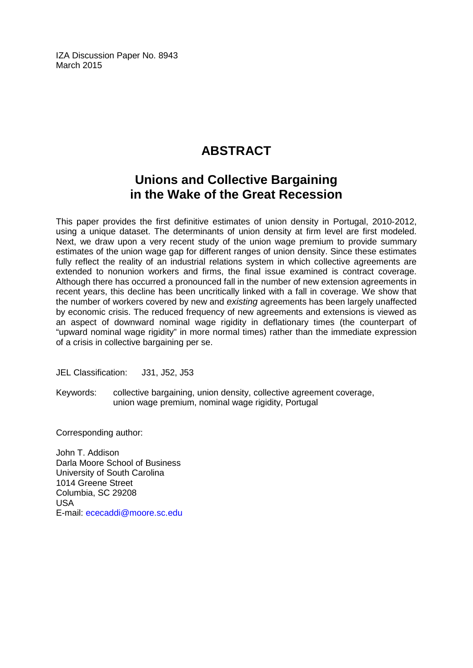IZA Discussion Paper No. 8943 March 2015

# **ABSTRACT**

# **Unions and Collective Bargaining in the Wake of the Great Recession**

This paper provides the first definitive estimates of union density in Portugal, 2010-2012, using a unique dataset. The determinants of union density at firm level are first modeled. Next, we draw upon a very recent study of the union wage premium to provide summary estimates of the union wage gap for different ranges of union density. Since these estimates fully reflect the reality of an industrial relations system in which collective agreements are extended to nonunion workers and firms, the final issue examined is contract coverage. Although there has occurred a pronounced fall in the number of new extension agreements in recent years, this decline has been uncritically linked with a fall in coverage. We show that the number of workers covered by new and *existing* agreements has been largely unaffected by economic crisis. The reduced frequency of new agreements and extensions is viewed as an aspect of downward nominal wage rigidity in deflationary times (the counterpart of "upward nominal wage rigidity" in more normal times) rather than the immediate expression of a crisis in collective bargaining per se.

JEL Classification: J31, J52, J53

Keywords: collective bargaining, union density, collective agreement coverage, union wage premium, nominal wage rigidity, Portugal

Corresponding author:

John T. Addison Darla Moore School of Business University of South Carolina 1014 Greene Street Columbia, SC 29208 USA E-mail: [ececaddi@moore.sc.edu](mailto:ececaddi@moore.sc.edu)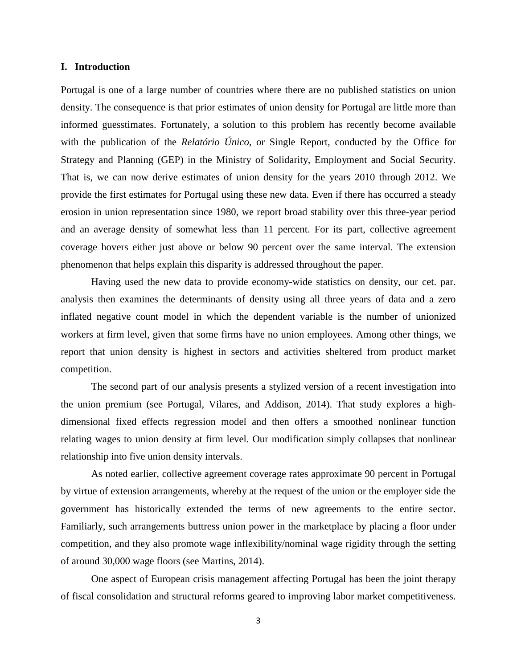#### **I. Introduction**

Portugal is one of a large number of countries where there are no published statistics on union density. The consequence is that prior estimates of union density for Portugal are little more than informed guesstimates. Fortunately, a solution to this problem has recently become available with the publication of the *Relatório Único*, or Single Report, conducted by the Office for Strategy and Planning (GEP) in the Ministry of Solidarity, Employment and Social Security. That is, we can now derive estimates of union density for the years 2010 through 2012. We provide the first estimates for Portugal using these new data. Even if there has occurred a steady erosion in union representation since 1980, we report broad stability over this three-year period and an average density of somewhat less than 11 percent. For its part, collective agreement coverage hovers either just above or below 90 percent over the same interval. The extension phenomenon that helps explain this disparity is addressed throughout the paper.

Having used the new data to provide economy-wide statistics on density, our cet. par. analysis then examines the determinants of density using all three years of data and a zero inflated negative count model in which the dependent variable is the number of unionized workers at firm level, given that some firms have no union employees. Among other things, we report that union density is highest in sectors and activities sheltered from product market competition.

The second part of our analysis presents a stylized version of a recent investigation into the union premium (see Portugal, Vilares, and Addison, 2014). That study explores a highdimensional fixed effects regression model and then offers a smoothed nonlinear function relating wages to union density at firm level. Our modification simply collapses that nonlinear relationship into five union density intervals.

As noted earlier, collective agreement coverage rates approximate 90 percent in Portugal by virtue of extension arrangements, whereby at the request of the union or the employer side the government has historically extended the terms of new agreements to the entire sector. Familiarly, such arrangements buttress union power in the marketplace by placing a floor under competition, and they also promote wage inflexibility/nominal wage rigidity through the setting of around 30,000 wage floors (see Martins, 2014).

One aspect of European crisis management affecting Portugal has been the joint therapy of fiscal consolidation and structural reforms geared to improving labor market competitiveness.

3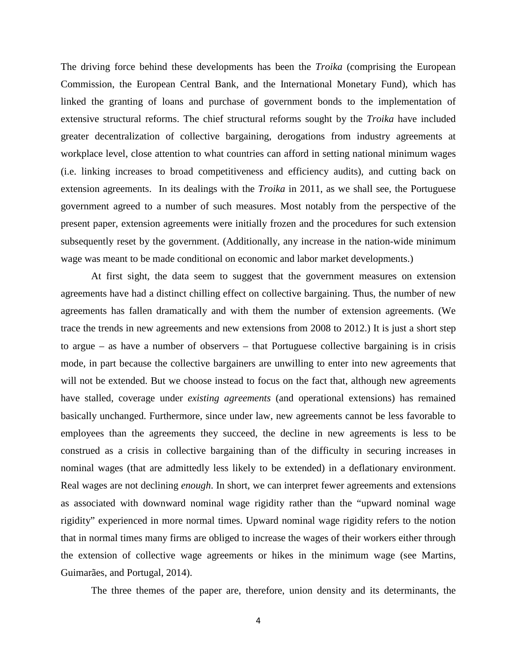The driving force behind these developments has been the *Troika* (comprising the European Commission, the European Central Bank, and the International Monetary Fund), which has linked the granting of loans and purchase of government bonds to the implementation of extensive structural reforms. The chief structural reforms sought by the *Troika* have included greater decentralization of collective bargaining, derogations from industry agreements at workplace level, close attention to what countries can afford in setting national minimum wages (i.e. linking increases to broad competitiveness and efficiency audits), and cutting back on extension agreements. In its dealings with the *Troika* in 2011, as we shall see, the Portuguese government agreed to a number of such measures. Most notably from the perspective of the present paper, extension agreements were initially frozen and the procedures for such extension subsequently reset by the government. (Additionally, any increase in the nation-wide minimum wage was meant to be made conditional on economic and labor market developments.)

At first sight, the data seem to suggest that the government measures on extension agreements have had a distinct chilling effect on collective bargaining. Thus, the number of new agreements has fallen dramatically and with them the number of extension agreements. (We trace the trends in new agreements and new extensions from 2008 to 2012.) It is just a short step to argue – as have a number of observers – that Portuguese collective bargaining is in crisis mode, in part because the collective bargainers are unwilling to enter into new agreements that will not be extended. But we choose instead to focus on the fact that, although new agreements have stalled, coverage under *existing agreements* (and operational extensions) has remained basically unchanged. Furthermore, since under law, new agreements cannot be less favorable to employees than the agreements they succeed, the decline in new agreements is less to be construed as a crisis in collective bargaining than of the difficulty in securing increases in nominal wages (that are admittedly less likely to be extended) in a deflationary environment. Real wages are not declining *enough*. In short, we can interpret fewer agreements and extensions as associated with downward nominal wage rigidity rather than the "upward nominal wage rigidity" experienced in more normal times. Upward nominal wage rigidity refers to the notion that in normal times many firms are obliged to increase the wages of their workers either through the extension of collective wage agreements or hikes in the minimum wage (see Martins, Guimarães, and Portugal, 2014).

The three themes of the paper are, therefore, union density and its determinants, the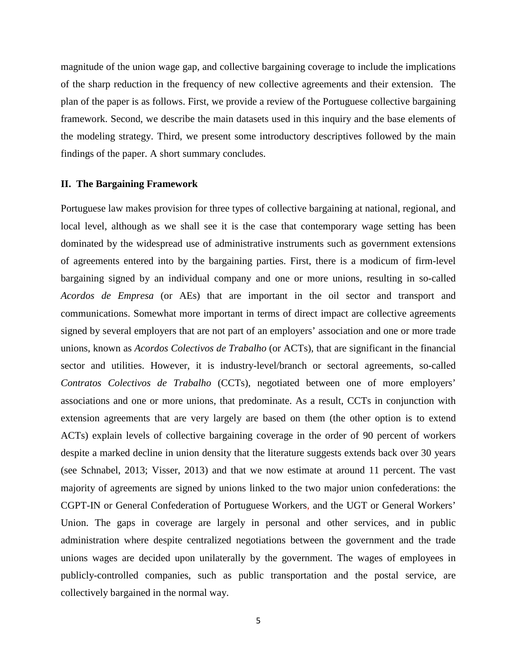magnitude of the union wage gap, and collective bargaining coverage to include the implications of the sharp reduction in the frequency of new collective agreements and their extension. The plan of the paper is as follows. First, we provide a review of the Portuguese collective bargaining framework. Second, we describe the main datasets used in this inquiry and the base elements of the modeling strategy. Third, we present some introductory descriptives followed by the main findings of the paper. A short summary concludes.

#### **II. The Bargaining Framework**

Portuguese law makes provision for three types of collective bargaining at national, regional, and local level, although as we shall see it is the case that contemporary wage setting has been dominated by the widespread use of administrative instruments such as government extensions of agreements entered into by the bargaining parties. First, there is a modicum of firm-level bargaining signed by an individual company and one or more unions, resulting in so-called *Acordos de Empresa* (or AEs) that are important in the oil sector and transport and communications. Somewhat more important in terms of direct impact are collective agreements signed by several employers that are not part of an employers' association and one or more trade unions, known as *Acordos Colectivos de Trabalho* (or ACTs), that are significant in the financial sector and utilities. However, it is industry-level/branch or sectoral agreements, so-called *Contratos Colectivos de Trabalho* (CCTs), negotiated between one of more employers' associations and one or more unions, that predominate. As a result, CCTs in conjunction with extension agreements that are very largely are based on them (the other option is to extend ACTs) explain levels of collective bargaining coverage in the order of 90 percent of workers despite a marked decline in union density that the literature suggests extends back over 30 years (see Schnabel, 2013; Visser, 2013) and that we now estimate at around 11 percent. The vast majority of agreements are signed by unions linked to the two major union confederations: the CGPT-IN or General Confederation of Portuguese Workers, and the UGT or General Workers' Union. The gaps in coverage are largely in personal and other services, and in public administration where despite centralized negotiations between the government and the trade unions wages are decided upon unilaterally by the government. The wages of employees in publicly-controlled companies, such as public transportation and the postal service, are collectively bargained in the normal way.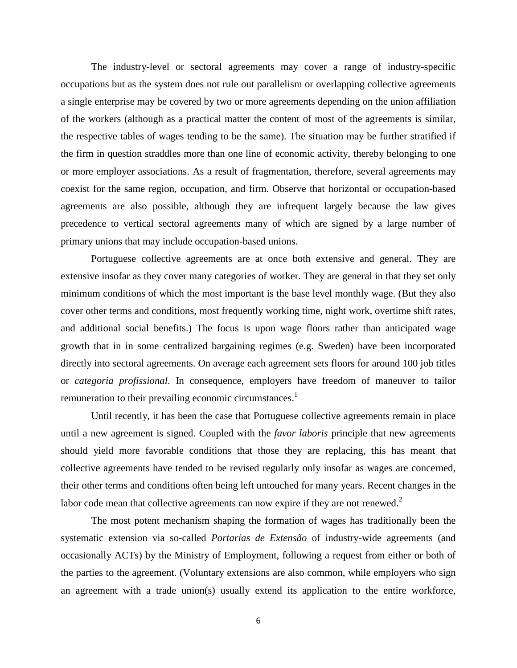The industry-level or sectoral agreements may cover a range of industry-specific occupations but as the system does not rule out parallelism or overlapping collective agreements a single enterprise may be covered by two or more agreements depending on the union affiliation of the workers (although as a practical matter the content of most of the agreements is similar, the respective tables of wages tending to be the same). The situation may be further stratified if the firm in question straddles more than one line of economic activity, thereby belonging to one or more employer associations. As a result of fragmentation, therefore, several agreements may coexist for the same region, occupation, and firm. Observe that horizontal or occupation-based agreements are also possible, although they are infrequent largely because the law gives precedence to vertical sectoral agreements many of which are signed by a large number of primary unions that may include occupation-based unions.

Portuguese collective agreements are at once both extensive and general. They are extensive insofar as they cover many categories of worker. They are general in that they set only minimum conditions of which the most important is the base level monthly wage. (But they also cover other terms and conditions, most frequently working time, night work, overtime shift rates, and additional social benefits.) The focus is upon wage floors rather than anticipated wage growth that in in some centralized bargaining regimes (e.g. Sweden) have been incorporated directly into sectoral agreements. On average each agreement sets floors for around 100 job titles or *categoria profissional*. In consequence, employers have freedom of maneuver to tailor remuneration to their prevailing economic circumstances.<sup>1</sup>

Until recently, it has been the case that Portuguese collective agreements remain in place until a new agreement is signed. Coupled with the *favor laboris* principle that new agreements should yield more favorable conditions that those they are replacing, this has meant that collective agreements have tended to be revised regularly only insofar as wages are concerned, their other terms and conditions often being left untouched for many years. Recent changes in the labor code mean that collective agreements can now expire if they are not renewed.<sup>2</sup>

The most potent mechanism shaping the formation of wages has traditionally been the systematic extension via so-called *Portarias de Extensão* of industry-wide agreements (and occasionally ACTs) by the Ministry of Employment, following a request from either or both of the parties to the agreement. (Voluntary extensions are also common, while employers who sign an agreement with a trade union(s) usually extend its application to the entire workforce,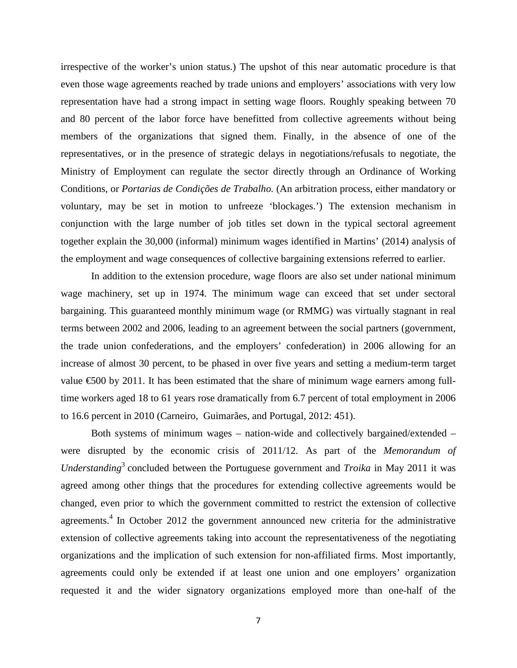irrespective of the worker's union status.) The upshot of this near automatic procedure is that even those wage agreements reached by trade unions and employers' associations with very low representation have had a strong impact in setting wage floors. Roughly speaking between 70 and 80 percent of the labor force have benefitted from collective agreements without being members of the organizations that signed them. Finally, in the absence of one of the representatives, or in the presence of strategic delays in negotiations/refusals to negotiate, the Ministry of Employment can regulate the sector directly through an Ordinance of Working Conditions, or *Portarias de Condições de Trabalho.* (An arbitration process, either mandatory or voluntary, may be set in motion to unfreeze 'blockages.') The extension mechanism in conjunction with the large number of job titles set down in the typical sectoral agreement together explain the 30,000 (informal) minimum wages identified in Martins' (2014) analysis of the employment and wage consequences of collective bargaining extensions referred to earlier.

In addition to the extension procedure, wage floors are also set under national minimum wage machinery, set up in 1974. The minimum wage can exceed that set under sectoral bargaining. This guaranteed monthly minimum wage (or RMMG) was virtually stagnant in real terms between 2002 and 2006, leading to an agreement between the social partners (government, the trade union confederations, and the employers' confederation) in 2006 allowing for an increase of almost 30 percent, to be phased in over five years and setting a medium-term target value  $\epsilon$ 500 by 2011. It has been estimated that the share of minimum wage earners among fulltime workers aged 18 to 61 years rose dramatically from 6.7 percent of total employment in 2006 to 16.6 percent in 2010 (Carneiro, Guimarães, and Portugal, 2012: 451).

Both systems of minimum wages – nation-wide and collectively bargained/extended – were disrupted by the economic crisis of 2011/12. As part of the *Memorandum of Understanding*<sup>3</sup> concluded between the Portuguese government and *Troika* in May 2011 it was agreed among other things that the procedures for extending collective agreements would be changed, even prior to which the government committed to restrict the extension of collective agreements.<sup>4</sup> In October 2012 the government announced new criteria for the administrative extension of collective agreements taking into account the representativeness of the negotiating organizations and the implication of such extension for non-affiliated firms. Most importantly, agreements could only be extended if at least one union and one employers' organization requested it and the wider signatory organizations employed more than one-half of the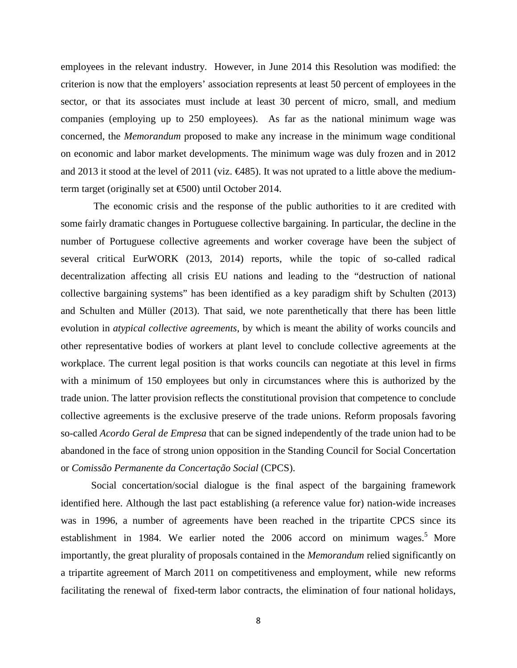employees in the relevant industry. However, in June 2014 this Resolution was modified: the criterion is now that the employers' association represents at least 50 percent of employees in the sector, or that its associates must include at least 30 percent of micro, small, and medium companies (employing up to 250 employees). As far as the national minimum wage was concerned, the *Memorandum* proposed to make any increase in the minimum wage conditional on economic and labor market developments. The minimum wage was duly frozen and in 2012 and 2013 it stood at the level of 2011 (viz.  $\bigoplus$  485). It was not uprated to a little above the mediumterm target (originally set at €500) until October 2014.

The economic crisis and the response of the public authorities to it are credited with some fairly dramatic changes in Portuguese collective bargaining. In particular, the decline in the number of Portuguese collective agreements and worker coverage have been the subject of several critical EurWORK (2013, 2014) reports, while the topic of so-called radical decentralization affecting all crisis EU nations and leading to the "destruction of national collective bargaining systems" has been identified as a key paradigm shift by Schulten (2013) and Schulten and Müller (2013). That said, we note parenthetically that there has been little evolution in *atypical collective agreements*, by which is meant the ability of works councils and other representative bodies of workers at plant level to conclude collective agreements at the workplace. The current legal position is that works councils can negotiate at this level in firms with a minimum of 150 employees but only in circumstances where this is authorized by the trade union. The latter provision reflects the constitutional provision that competence to conclude collective agreements is the exclusive preserve of the trade unions. Reform proposals favoring so-called *Acordo Geral de Empresa* that can be signed independently of the trade union had to be abandoned in the face of strong union opposition in the Standing Council for Social Concertation or *Comissão Permanente da Concertação Social* (CPCS).

Social concertation/social dialogue is the final aspect of the bargaining framework identified here. Although the last pact establishing (a reference value for) nation-wide increases was in 1996, a number of agreements have been reached in the tripartite CPCS since its establishment in 1984. We earlier noted the  $2006$  accord on minimum wages.<sup>5</sup> More importantly, the great plurality of proposals contained in the *Memorandum* relied significantly on a tripartite agreement of March 2011 on competitiveness and employment, while new reforms facilitating the renewal of fixed-term labor contracts, the elimination of four national holidays,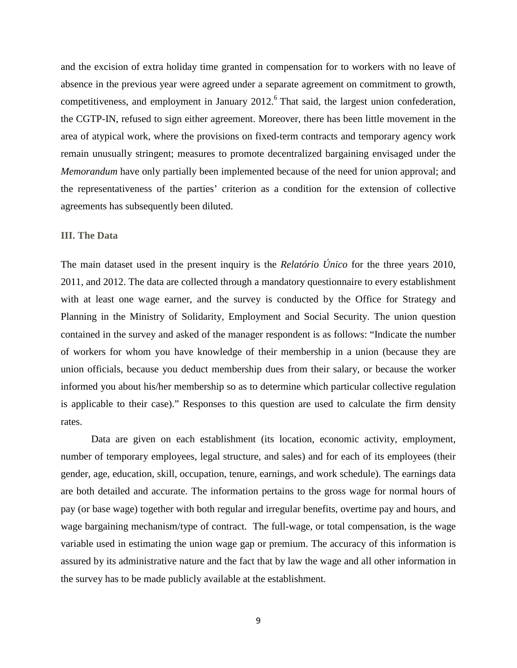and the excision of extra holiday time granted in compensation for to workers with no leave of absence in the previous year were agreed under a separate agreement on commitment to growth, competitiveness, and employment in January  $2012<sup>6</sup>$  That said, the largest union confederation, the CGTP-IN, refused to sign either agreement. Moreover, there has been little movement in the area of atypical work, where the provisions on fixed-term contracts and temporary agency work remain unusually stringent; measures to promote decentralized bargaining envisaged under the *Memorandum* have only partially been implemented because of the need for union approval; and the representativeness of the parties' criterion as a condition for the extension of collective agreements has subsequently been diluted.

#### **III. The Data**

The main dataset used in the present inquiry is the *Relatório Único* for the three years 2010, 2011, and 2012. The data are collected through a mandatory questionnaire to every establishment with at least one wage earner, and the survey is conducted by the Office for Strategy and Planning in the Ministry of Solidarity, Employment and Social Security. The union question contained in the survey and asked of the manager respondent is as follows: "Indicate the number of workers for whom you have knowledge of their membership in a union (because they are union officials, because you deduct membership dues from their salary, or because the worker informed you about his/her membership so as to determine which particular collective regulation is applicable to their case)." Responses to this question are used to calculate the firm density rates.

Data are given on each establishment (its location, economic activity, employment, number of temporary employees, legal structure, and sales) and for each of its employees (their gender, age, education, skill, occupation, tenure, earnings, and work schedule). The earnings data are both detailed and accurate. The information pertains to the gross wage for normal hours of pay (or base wage) together with both regular and irregular benefits, overtime pay and hours, and wage bargaining mechanism/type of contract. The full-wage, or total compensation, is the wage variable used in estimating the union wage gap or premium. The accuracy of this information is assured by its administrative nature and the fact that by law the wage and all other information in the survey has to be made publicly available at the establishment.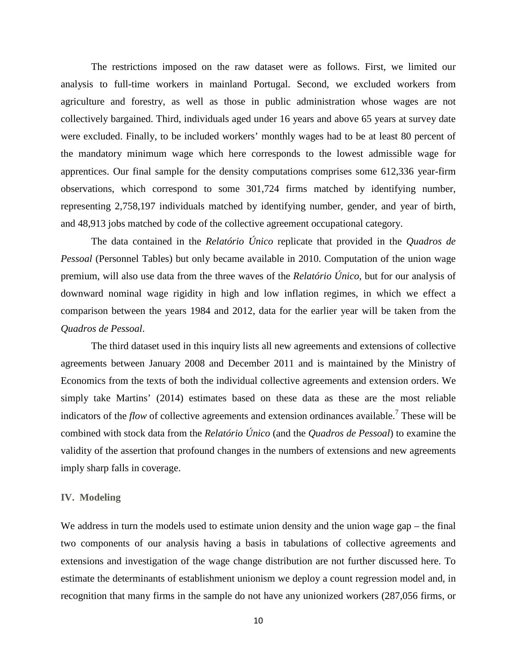The restrictions imposed on the raw dataset were as follows. First, we limited our analysis to full-time workers in mainland Portugal. Second, we excluded workers from agriculture and forestry, as well as those in public administration whose wages are not collectively bargained. Third, individuals aged under 16 years and above 65 years at survey date were excluded. Finally, to be included workers' monthly wages had to be at least 80 percent of the mandatory minimum wage which here corresponds to the lowest admissible wage for apprentices. Our final sample for the density computations comprises some 612,336 year-firm observations, which correspond to some 301,724 firms matched by identifying number, representing 2,758,197 individuals matched by identifying number, gender, and year of birth, and 48,913 jobs matched by code of the collective agreement occupational category.

The data contained in the *Relatório Único* replicate that provided in the *Quadros de Pessoal* (Personnel Tables) but only became available in 2010. Computation of the union wage premium, will also use data from the three waves of the *Relatório Único*, but for our analysis of downward nominal wage rigidity in high and low inflation regimes, in which we effect a comparison between the years 1984 and 2012, data for the earlier year will be taken from the *Quadros de Pessoal*.

The third dataset used in this inquiry lists all new agreements and extensions of collective agreements between January 2008 and December 2011 and is maintained by the Ministry of Economics from the texts of both the individual collective agreements and extension orders. We simply take Martins' (2014) estimates based on these data as these are the most reliable indicators of the *flow* of collective agreements and extension ordinances available.<sup>7</sup> These will be combined with stock data from the *Relatório Único* (and the *Quadros de Pessoal*) to examine the validity of the assertion that profound changes in the numbers of extensions and new agreements imply sharp falls in coverage.

#### **IV. Modeling**

We address in turn the models used to estimate union density and the union wage gap – the final two components of our analysis having a basis in tabulations of collective agreements and extensions and investigation of the wage change distribution are not further discussed here. To estimate the determinants of establishment unionism we deploy a count regression model and, in recognition that many firms in the sample do not have any unionized workers (287,056 firms, or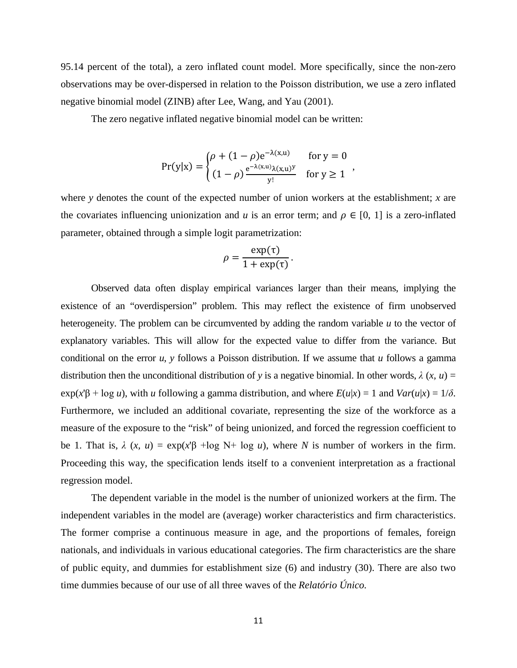95.14 percent of the total), a zero inflated count model. More specifically, since the non-zero observations may be over-dispersed in relation to the Poisson distribution, we use a zero inflated negative binomial model (ZINB) after Lee, Wang, and Yau (2001).

The zero negative inflated negative binomial model can be written:

$$
Pr(y|x) = \begin{cases} \rho + (1 - \rho)e^{-\lambda(x,u)} & \text{for } y = 0\\ (1 - \rho)\frac{e^{-\lambda(x,u)}\lambda(x,u)^y}{y!} & \text{for } y \ge 1 \end{cases}
$$

where *y* denotes the count of the expected number of union workers at the establishment; *x* are the covariates influencing unionization and *u* is an error term; and  $\rho \in [0, 1]$  is a zero-inflated parameter, obtained through a simple logit parametrization:

$$
\rho = \frac{\exp(\tau)}{1 + \exp(\tau)}.
$$

Observed data often display empirical variances larger than their means, implying the existence of an "overdispersion" problem. This may reflect the existence of firm unobserved heterogeneity. The problem can be circumvented by adding the random variable *u* to the vector of explanatory variables. This will allow for the expected value to differ from the variance. But conditional on the error *u*, *y* follows a Poisson distribution. If we assume that *u* follows a gamma distribution then the unconditional distribution of *y* is a negative binomial. In other words,  $\lambda$  (*x, u*) = exp(*x*'β + log *u*), with *u* following a gamma distribution, and where *E*(*u*|*x*) = 1 and *Var*(*u*|*x*) = 1/*δ*. Furthermore, we included an additional covariate, representing the size of the workforce as a measure of the exposure to the "risk" of being unionized, and forced the regression coefficient to be 1. That is,  $\lambda$  (*x, u*) = exp(*x*' $\beta$  +log N+ log *u*), where *N* is number of workers in the firm. Proceeding this way, the specification lends itself to a convenient interpretation as a fractional regression model.

The dependent variable in the model is the number of unionized workers at the firm. The independent variables in the model are (average) worker characteristics and firm characteristics. The former comprise a continuous measure in age, and the proportions of females, foreign nationals, and individuals in various educational categories. The firm characteristics are the share of public equity, and dummies for establishment size (6) and industry (30). There are also two time dummies because of our use of all three waves of the *Relatório Único.*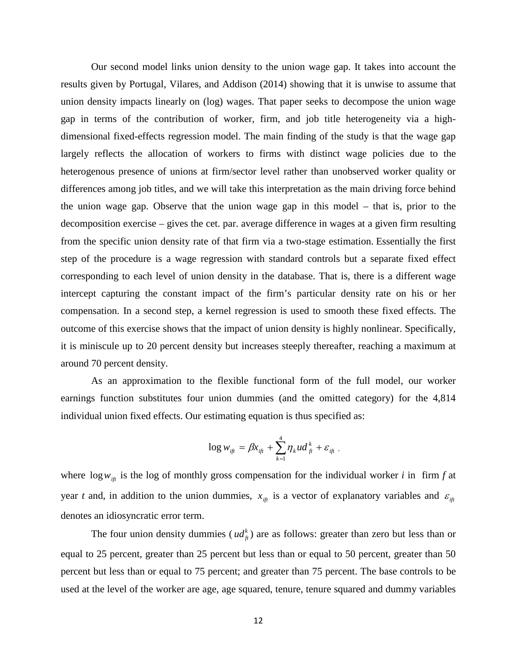Our second model links union density to the union wage gap. It takes into account the results given by Portugal, Vilares, and Addison (2014) showing that it is unwise to assume that union density impacts linearly on (log) wages. That paper seeks to decompose the union wage gap in terms of the contribution of worker, firm, and job title heterogeneity via a highdimensional fixed-effects regression model. The main finding of the study is that the wage gap largely reflects the allocation of workers to firms with distinct wage policies due to the heterogenous presence of unions at firm/sector level rather than unobserved worker quality or differences among job titles, and we will take this interpretation as the main driving force behind the union wage gap. Observe that the union wage gap in this model – that is, prior to the decomposition exercise – gives the cet. par. average difference in wages at a given firm resulting from the specific union density rate of that firm via a two-stage estimation. Essentially the first step of the procedure is a wage regression with standard controls but a separate fixed effect corresponding to each level of union density in the database. That is, there is a different wage intercept capturing the constant impact of the firm's particular density rate on his or her compensation. In a second step, a kernel regression is used to smooth these fixed effects. The outcome of this exercise shows that the impact of union density is highly nonlinear. Specifically, it is miniscule up to 20 percent density but increases steeply thereafter, reaching a maximum at around 70 percent density.

As an approximation to the flexible functional form of the full model, our worker earnings function substitutes four union dummies (and the omitted category) for the 4,814 individual union fixed effects. Our estimating equation is thus specified as:

$$
\log w_{_{if\!f}} = \beta x_{_{if\!f}} + \sum_{k=1}^4 \eta_k u d_{_{f\!f}}^k + \varepsilon_{_{if\!f}} \, .
$$

where  $\log w_{i\theta}$  is the log of monthly gross compensation for the individual worker *i* in firm *f* at year *t* and, in addition to the union dummies,  $x_{i\hat{i}}$  is a vector of explanatory variables and  $\varepsilon_{i\hat{i}}$ denotes an idiosyncratic error term.

The four union density dummies ( $ud_f^k$ ) are as follows: greater than zero but less than or equal to 25 percent, greater than 25 percent but less than or equal to 50 percent, greater than 50 percent but less than or equal to 75 percent; and greater than 75 percent. The base controls to be used at the level of the worker are age, age squared, tenure, tenure squared and dummy variables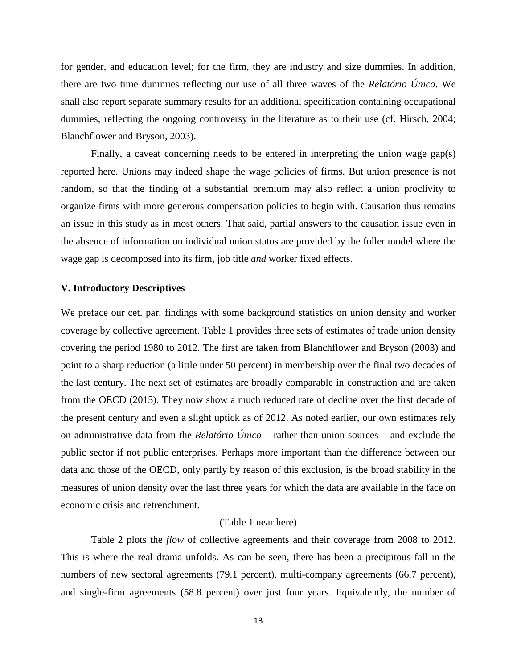for gender, and education level; for the firm, they are industry and size dummies. In addition, there are two time dummies reflecting our use of all three waves of the *Relatório Único*. We shall also report separate summary results for an additional specification containing occupational dummies, reflecting the ongoing controversy in the literature as to their use (cf. Hirsch, 2004; Blanchflower and Bryson, 2003).

Finally, a caveat concerning needs to be entered in interpreting the union wage gap(s) reported here. Unions may indeed shape the wage policies of firms. But union presence is not random, so that the finding of a substantial premium may also reflect a union proclivity to organize firms with more generous compensation policies to begin with. Causation thus remains an issue in this study as in most others. That said, partial answers to the causation issue even in the absence of information on individual union status are provided by the fuller model where the wage gap is decomposed into its firm, job title *and* worker fixed effects.

#### **V. Introductory Descriptives**

We preface our cet. par. findings with some background statistics on union density and worker coverage by collective agreement. Table 1 provides three sets of estimates of trade union density covering the period 1980 to 2012. The first are taken from Blanchflower and Bryson (2003) and point to a sharp reduction (a little under 50 percent) in membership over the final two decades of the last century. The next set of estimates are broadly comparable in construction and are taken from the OECD (2015). They now show a much reduced rate of decline over the first decade of the present century and even a slight uptick as of 2012. As noted earlier, our own estimates rely on administrative data from the *Relatório Único* – rather than union sources – and exclude the public sector if not public enterprises. Perhaps more important than the difference between our data and those of the OECD, only partly by reason of this exclusion, is the broad stability in the measures of union density over the last three years for which the data are available in the face on economic crisis and retrenchment.

#### (Table 1 near here)

Table 2 plots the *flow* of collective agreements and their coverage from 2008 to 2012. This is where the real drama unfolds. As can be seen, there has been a precipitous fall in the numbers of new sectoral agreements (79.1 percent), multi-company agreements (66.7 percent), and single-firm agreements (58.8 percent) over just four years. Equivalently, the number of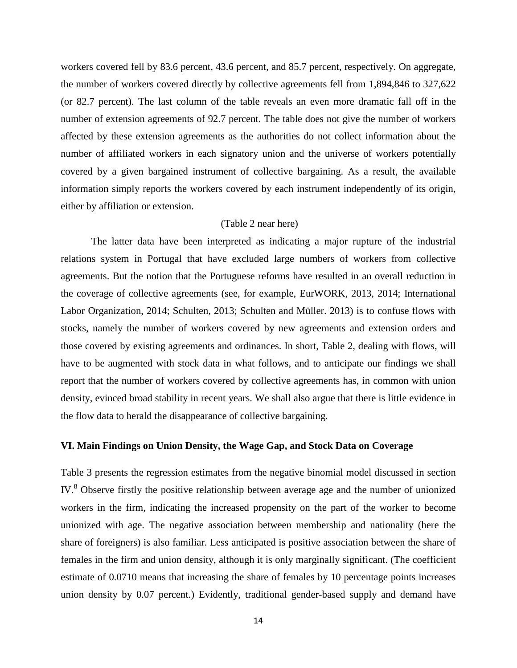workers covered fell by 83.6 percent, 43.6 percent, and 85.7 percent, respectively. On aggregate, the number of workers covered directly by collective agreements fell from 1,894,846 to 327,622 (or 82.7 percent). The last column of the table reveals an even more dramatic fall off in the number of extension agreements of 92.7 percent. The table does not give the number of workers affected by these extension agreements as the authorities do not collect information about the number of affiliated workers in each signatory union and the universe of workers potentially covered by a given bargained instrument of collective bargaining. As a result, the available information simply reports the workers covered by each instrument independently of its origin, either by affiliation or extension.

#### (Table 2 near here)

The latter data have been interpreted as indicating a major rupture of the industrial relations system in Portugal that have excluded large numbers of workers from collective agreements. But the notion that the Portuguese reforms have resulted in an overall reduction in the coverage of collective agreements (see, for example, EurWORK, 2013, 2014; International Labor Organization, 2014; Schulten, 2013; Schulten and Müller. 2013) is to confuse flows with stocks, namely the number of workers covered by new agreements and extension orders and those covered by existing agreements and ordinances. In short, Table 2, dealing with flows, will have to be augmented with stock data in what follows, and to anticipate our findings we shall report that the number of workers covered by collective agreements has, in common with union density, evinced broad stability in recent years. We shall also argue that there is little evidence in the flow data to herald the disappearance of collective bargaining.

#### **VI. Main Findings on Union Density, the Wage Gap, and Stock Data on Coverage**

Table 3 presents the regression estimates from the negative binomial model discussed in section IV.<sup>8</sup> Observe firstly the positive relationship between average age and the number of unionized workers in the firm, indicating the increased propensity on the part of the worker to become unionized with age. The negative association between membership and nationality (here the share of foreigners) is also familiar. Less anticipated is positive association between the share of females in the firm and union density, although it is only marginally significant. (The coefficient estimate of 0.0710 means that increasing the share of females by 10 percentage points increases union density by 0.07 percent.) Evidently, traditional gender-based supply and demand have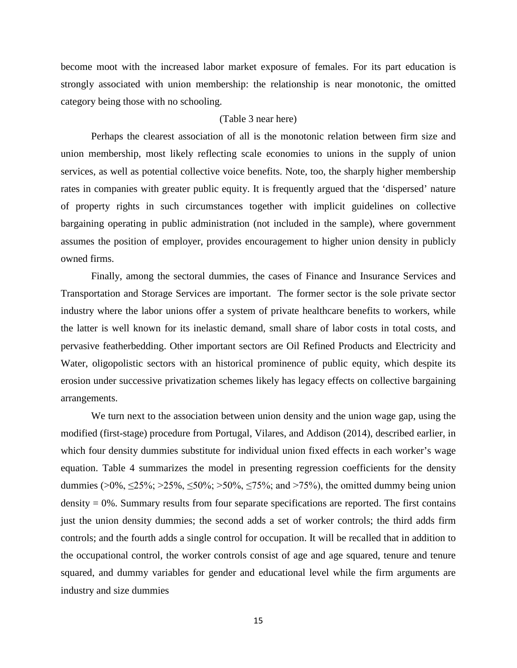become moot with the increased labor market exposure of females. For its part education is strongly associated with union membership: the relationship is near monotonic, the omitted category being those with no schooling.

#### (Table 3 near here)

Perhaps the clearest association of all is the monotonic relation between firm size and union membership, most likely reflecting scale economies to unions in the supply of union services, as well as potential collective voice benefits. Note, too, the sharply higher membership rates in companies with greater public equity. It is frequently argued that the 'dispersed' nature of property rights in such circumstances together with implicit guidelines on collective bargaining operating in public administration (not included in the sample), where government assumes the position of employer, provides encouragement to higher union density in publicly owned firms.

Finally, among the sectoral dummies, the cases of Finance and Insurance Services and Transportation and Storage Services are important. The former sector is the sole private sector industry where the labor unions offer a system of private healthcare benefits to workers, while the latter is well known for its inelastic demand, small share of labor costs in total costs, and pervasive featherbedding. Other important sectors are Oil Refined Products and Electricity and Water, oligopolistic sectors with an historical prominence of public equity, which despite its erosion under successive privatization schemes likely has legacy effects on collective bargaining arrangements.

We turn next to the association between union density and the union wage gap, using the modified (first-stage) procedure from Portugal, Vilares, and Addison (2014), described earlier, in which four density dummies substitute for individual union fixed effects in each worker's wage equation. Table 4 summarizes the model in presenting regression coefficients for the density dummies (>0%, ≤25%; >25%, ≤50%; >50%, ≤75%; and >75%), the omitted dummy being union density  $= 0\%$ . Summary results from four separate specifications are reported. The first contains just the union density dummies; the second adds a set of worker controls; the third adds firm controls; and the fourth adds a single control for occupation. It will be recalled that in addition to the occupational control, the worker controls consist of age and age squared, tenure and tenure squared, and dummy variables for gender and educational level while the firm arguments are industry and size dummies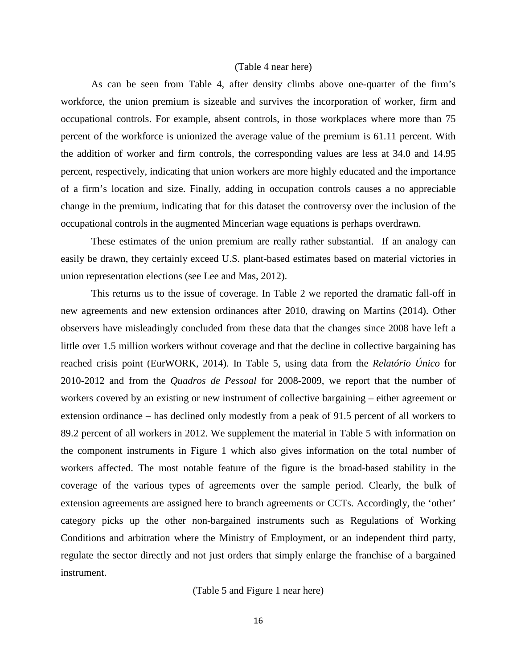#### (Table 4 near here)

As can be seen from Table 4, after density climbs above one-quarter of the firm's workforce, the union premium is sizeable and survives the incorporation of worker, firm and occupational controls. For example, absent controls, in those workplaces where more than 75 percent of the workforce is unionized the average value of the premium is 61.11 percent. With the addition of worker and firm controls, the corresponding values are less at 34.0 and 14.95 percent, respectively, indicating that union workers are more highly educated and the importance of a firm's location and size. Finally, adding in occupation controls causes a no appreciable change in the premium, indicating that for this dataset the controversy over the inclusion of the occupational controls in the augmented Mincerian wage equations is perhaps overdrawn.

These estimates of the union premium are really rather substantial. If an analogy can easily be drawn, they certainly exceed U.S. plant-based estimates based on material victories in union representation elections (see Lee and Mas, 2012).

This returns us to the issue of coverage. In Table 2 we reported the dramatic fall-off in new agreements and new extension ordinances after 2010, drawing on Martins (2014). Other observers have misleadingly concluded from these data that the changes since 2008 have left a little over 1.5 million workers without coverage and that the decline in collective bargaining has reached crisis point (EurWORK, 2014). In Table 5, using data from the *Relatório Único* for 2010-2012 and from the *Quadros de Pessoal* for 2008-2009, we report that the number of workers covered by an existing or new instrument of collective bargaining – either agreement or extension ordinance – has declined only modestly from a peak of 91.5 percent of all workers to 89.2 percent of all workers in 2012. We supplement the material in Table 5 with information on the component instruments in Figure 1 which also gives information on the total number of workers affected. The most notable feature of the figure is the broad-based stability in the coverage of the various types of agreements over the sample period. Clearly, the bulk of extension agreements are assigned here to branch agreements or CCTs. Accordingly, the 'other' category picks up the other non-bargained instruments such as Regulations of Working Conditions and arbitration where the Ministry of Employment, or an independent third party, regulate the sector directly and not just orders that simply enlarge the franchise of a bargained instrument.

(Table 5 and Figure 1 near here)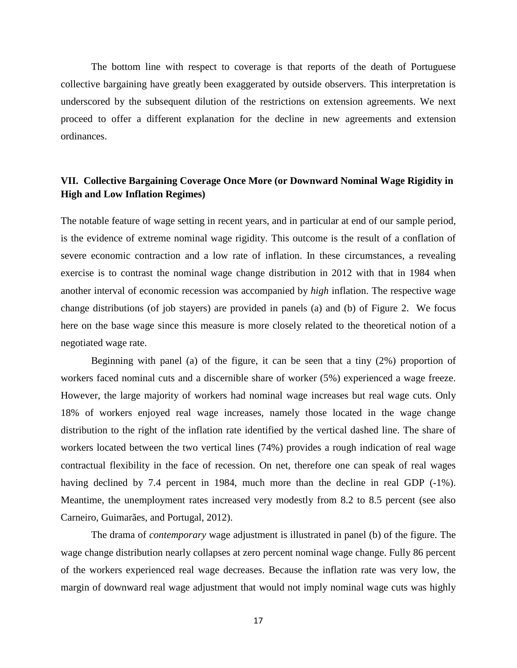The bottom line with respect to coverage is that reports of the death of Portuguese collective bargaining have greatly been exaggerated by outside observers. This interpretation is underscored by the subsequent dilution of the restrictions on extension agreements. We next proceed to offer a different explanation for the decline in new agreements and extension ordinances.

### **VII. Collective Bargaining Coverage Once More (or Downward Nominal Wage Rigidity in High and Low Inflation Regimes)**

The notable feature of wage setting in recent years, and in particular at end of our sample period, is the evidence of extreme nominal wage rigidity. This outcome is the result of a conflation of severe economic contraction and a low rate of inflation. In these circumstances, a revealing exercise is to contrast the nominal wage change distribution in 2012 with that in 1984 when another interval of economic recession was accompanied by *high* inflation. The respective wage change distributions (of job stayers) are provided in panels (a) and (b) of Figure 2. We focus here on the base wage since this measure is more closely related to the theoretical notion of a negotiated wage rate.

Beginning with panel (a) of the figure, it can be seen that a tiny (2%) proportion of workers faced nominal cuts and a discernible share of worker (5%) experienced a wage freeze. However, the large majority of workers had nominal wage increases but real wage cuts. Only 18% of workers enjoyed real wage increases, namely those located in the wage change distribution to the right of the inflation rate identified by the vertical dashed line. The share of workers located between the two vertical lines (74%) provides a rough indication of real wage contractual flexibility in the face of recession. On net, therefore one can speak of real wages having declined by 7.4 percent in 1984, much more than the decline in real GDP (-1%). Meantime, the unemployment rates increased very modestly from 8.2 to 8.5 percent (see also Carneiro, Guimarães, and Portugal, 2012).

The drama of *contemporary* wage adjustment is illustrated in panel (b) of the figure. The wage change distribution nearly collapses at zero percent nominal wage change. Fully 86 percent of the workers experienced real wage decreases. Because the inflation rate was very low, the margin of downward real wage adjustment that would not imply nominal wage cuts was highly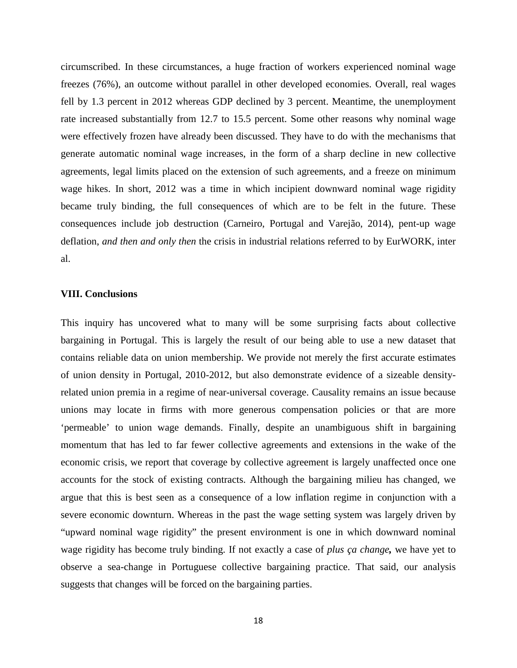circumscribed. In these circumstances, a huge fraction of workers experienced nominal wage freezes (76%), an outcome without parallel in other developed economies. Overall, real wages fell by 1.3 percent in 2012 whereas GDP declined by 3 percent. Meantime, the unemployment rate increased substantially from 12.7 to 15.5 percent. Some other reasons why nominal wage were effectively frozen have already been discussed. They have to do with the mechanisms that generate automatic nominal wage increases, in the form of a sharp decline in new collective agreements, legal limits placed on the extension of such agreements, and a freeze on minimum wage hikes. In short, 2012 was a time in which incipient downward nominal wage rigidity became truly binding, the full consequences of which are to be felt in the future. These consequences include job destruction (Carneiro, Portugal and Varejão, 2014), pent-up wage deflation, *and then and only then* the crisis in industrial relations referred to by EurWORK, inter al.

#### **VIII. Conclusions**

This inquiry has uncovered what to many will be some surprising facts about collective bargaining in Portugal. This is largely the result of our being able to use a new dataset that contains reliable data on union membership. We provide not merely the first accurate estimates of union density in Portugal, 2010-2012, but also demonstrate evidence of a sizeable densityrelated union premia in a regime of near-universal coverage. Causality remains an issue because unions may locate in firms with more generous compensation policies or that are more 'permeable' to union wage demands. Finally, despite an unambiguous shift in bargaining momentum that has led to far fewer collective agreements and extensions in the wake of the economic crisis, we report that coverage by collective agreement is largely unaffected once one accounts for the stock of existing contracts. Although the bargaining milieu has changed, we argue that this is best seen as a consequence of a low inflation regime in conjunction with a severe economic downturn. Whereas in the past the wage setting system was largely driven by "upward nominal wage rigidity" the present environment is one in which downward nominal wage rigidity has become truly binding. If not exactly a case of *plus ça change,* we have yet to observe a sea-change in Portuguese collective bargaining practice. That said, our analysis suggests that changes will be forced on the bargaining parties.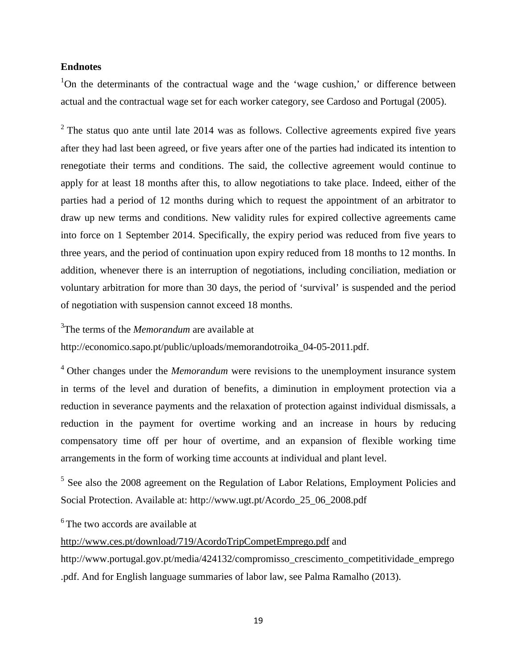#### **Endnotes**

<sup>1</sup>On the determinants of the contractual wage and the 'wage cushion,' or difference between actual and the contractual wage set for each worker category, see Cardoso and Portugal (2005).

 $2$  The status quo ante until late 2014 was as follows. Collective agreements expired five years after they had last been agreed, or five years after one of the parties had indicated its intention to renegotiate their terms and conditions. The said, the collective agreement would continue to apply for at least 18 months after this, to allow negotiations to take place. Indeed, either of the parties had a period of 12 months during which to request the appointment of an arbitrator to draw up new terms and conditions. New validity rules for expired collective agreements came into force on 1 September 2014. Specifically, the expiry period was reduced from five years to three years, and the period of continuation upon expiry reduced from 18 months to 12 months. In addition, whenever there is an interruption of negotiations, including conciliation, mediation or voluntary arbitration for more than 30 days, the period of 'survival' is suspended and the period of negotiation with suspension cannot exceed 18 months.

3 The terms of the *Memorandum* are available at

http://economico.sapo.pt/public/uploads/memorandotroika\_04-05-2011.pdf.

<sup>4</sup> Other changes under the *Memorandum* were revisions to the unemployment insurance system in terms of the level and duration of benefits, a diminution in employment protection via a reduction in severance payments and the relaxation of protection against individual dismissals, a reduction in the payment for overtime working and an increase in hours by reducing compensatory time off per hour of overtime, and an expansion of flexible working time arrangements in the form of working time accounts at individual and plant level.

<sup>5</sup> See also the 2008 agreement on the Regulation of Labor Relations, Employment Policies and Social Protection. Available at: http://www.ugt.pt/Acordo\_25\_06\_2008.pdf

<sup>6</sup> The two accords are available at

<http://www.ces.pt/download/719/AcordoTripCompetEmprego.pdf> and

[http://www.portugal.gov.pt/media/424132/compromisso\\_crescimento\\_competitividade\\_emprego](http://www.portugal.gov.pt/media/424132/compromisso_crescimento_competitividade_emprego.pdf) [.pdf.](http://www.portugal.gov.pt/media/424132/compromisso_crescimento_competitividade_emprego.pdf) And for English language summaries of labor law, see Palma Ramalho (2013).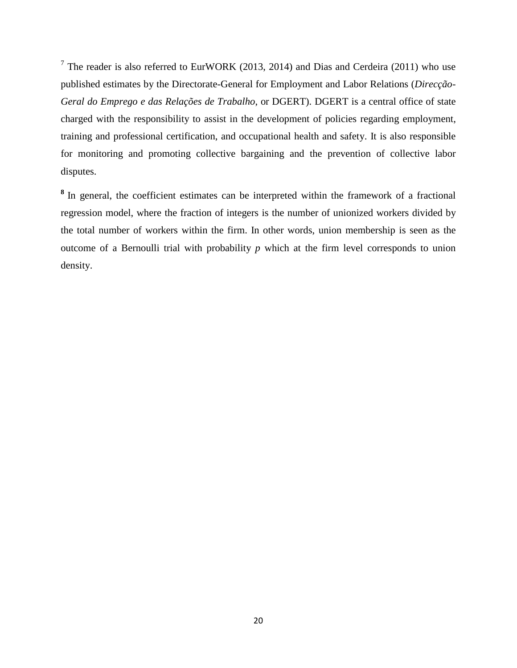$7$  The reader is also referred to EurWORK (2013, 2014) and Dias and Cerdeira (2011) who use published estimates by the Directorate-General for Employment and Labor Relations (*Direcção-Geral do Emprego e das Relações de Trabalho*, or DGERT). DGERT is a central office of state charged with the responsibility to assist in the development of policies regarding employment, training and professional certification, and occupational health and safety. It is also responsible for monitoring and promoting collective bargaining and the prevention of collective labor disputes.

**<sup>8</sup>** In general, the coefficient estimates can be interpreted within the framework of a fractional regression model, where the fraction of integers is the number of unionized workers divided by the total number of workers within the firm. In other words, union membership is seen as the outcome of a Bernoulli trial with probability  $p$  which at the firm level corresponds to union density.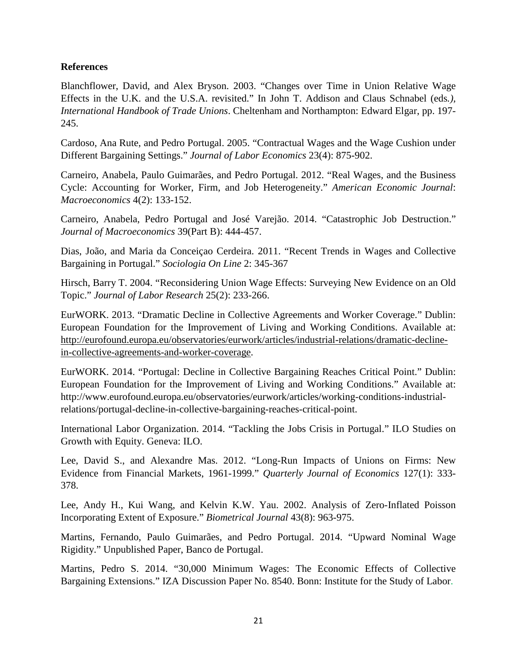### **References**

Blanchflower, David, and Alex Bryson. 2003. "Changes over Time in Union Relative Wage Effects in the U.K. and the U.S.A. revisited." In John T. Addison and Claus Schnabel (eds*.), International Handbook of Trade Unions*. Cheltenham and Northampton: Edward Elgar, pp. 197- 245.

Cardoso, Ana Rute, and Pedro Portugal. 2005. "Contractual Wages and the Wage Cushion under Different Bargaining Settings." *Journal of Labor Economics* 23(4): 875-902.

Carneiro, Anabela, Paulo Guimarães, and Pedro Portugal. 2012. "Real Wages, and the Business Cycle: Accounting for Worker, Firm, and Job Heterogeneity." *American Economic Journal*: *Macroeconomics* 4(2): 133-152.

Carneiro, Anabela, Pedro Portugal and José Varejão. 2014. "Catastrophic Job Destruction." *Journal of Macroeconomics* 39(Part B): 444-457.

Dias, João, and Maria da Conceiçao Cerdeira. 2011. "Recent Trends in Wages and Collective Bargaining in Portugal." *Sociologia On Line* 2: 345-367

Hirsch, Barry T. 2004. "Reconsidering Union Wage Effects: Surveying New Evidence on an Old Topic." *Journal of Labor Research* 25(2): 233-266.

EurWORK. 2013. "Dramatic Decline in Collective Agreements and Worker Coverage." Dublin: European Foundation for the Improvement of Living and Working Conditions. Available at: [http://eurofound.europa.eu/observatories/eurwork/articles/industrial-relations/dramatic-decline](http://eurofound.europa.eu/observatories/eurwork/articles/industrial-relations/dramatic-decline-in-collective-agreements-and-worker-coverage)[in-collective-agreements-and-worker-coverage.](http://eurofound.europa.eu/observatories/eurwork/articles/industrial-relations/dramatic-decline-in-collective-agreements-and-worker-coverage)

EurWORK. 2014. "Portugal: Decline in Collective Bargaining Reaches Critical Point." Dublin: European Foundation for the Improvement of Living and Working Conditions." Available at: http://www.eurofound.europa.eu/observatories/eurwork/articles/working-conditions-industrialrelations/portugal-decline-in-collective-bargaining-reaches-critical-point.

International Labor Organization. 2014. "Tackling the Jobs Crisis in Portugal." ILO Studies on Growth with Equity. Geneva: ILO.

Lee, David S., and Alexandre Mas. 2012. "Long-Run Impacts of Unions on Firms: New Evidence from Financial Markets, 1961-1999." *Quarterly Journal of Economics* 127(1): 333- 378.

Lee, Andy H., Kui Wang, and Kelvin K.W. Yau. 2002. Analysis of Zero-Inflated Poisson Incorporating Extent of Exposure." *Biometrical Journal* 43(8): 963-975.

Martins, Fernando, Paulo Guimarães, and Pedro Portugal. 2014. "Upward Nominal Wage Rigidity." Unpublished Paper, Banco de Portugal.

Martins, Pedro S. 2014. "30,000 Minimum Wages: The Economic Effects of Collective Bargaining Extensions." IZA Discussion Paper No. 8540. Bonn: Institute for the Study of Labor.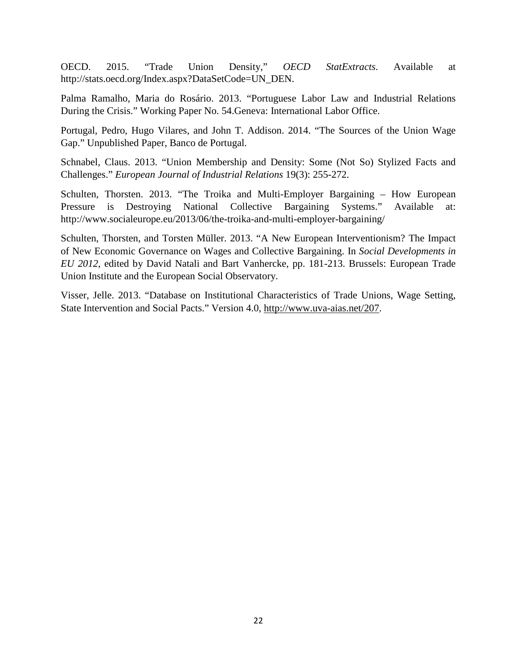OECD. 2015. "Trade Union Density," *OECD StatExtracts*. Available at http://stats.oecd.org/Index.aspx?DataSetCode=UN\_DEN.

Palma Ramalho, Maria do Rosário. 2013. "Portuguese Labor Law and Industrial Relations During the Crisis." Working Paper No. 54.Geneva: International Labor Office.

Portugal, Pedro, Hugo Vilares, and John T. Addison. 2014. "The Sources of the Union Wage Gap." Unpublished Paper, Banco de Portugal.

Schnabel, Claus. 2013. "Union Membership and Density: Some (Not So) Stylized Facts and Challenges." *European Journal of Industrial Relations* 19(3): 255-272.

Schulten, Thorsten. 2013. "The Troika and Multi-Employer Bargaining – How European Pressure is Destroying National Collective Bargaining Systems." Available at: http://www.socialeurope.eu/2013/06/the-troika-and-multi-employer-bargaining/

Schulten, Thorsten, and Torsten Müller. 2013. "A New European Interventionism? The Impact of New Economic Governance on Wages and Collective Bargaining. In *Social Developments in EU 2012*, edited by David Natali and Bart Vanhercke, pp. 181-213. Brussels: European Trade Union Institute and the European Social Observatory.

Visser, Jelle. 2013. "Database on Institutional Characteristics of Trade Unions, Wage Setting, State Intervention and Social Pacts." Version 4.0, [http://www.uva-aias.net/207.](http://www.uva-aias.net/207)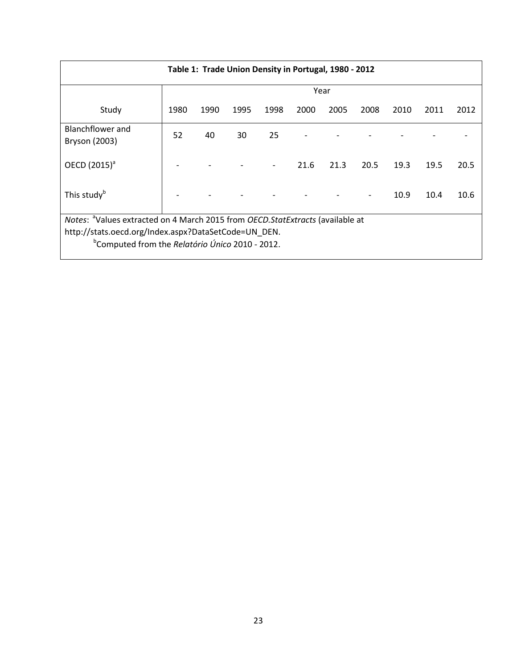| Table 1: Trade Union Density in Portugal, 1980 - 2012                                                               |      |      |      |      |      |      |      |      |      |      |
|---------------------------------------------------------------------------------------------------------------------|------|------|------|------|------|------|------|------|------|------|
|                                                                                                                     | Year |      |      |      |      |      |      |      |      |      |
| Study                                                                                                               | 1980 | 1990 | 1995 | 1998 | 2000 | 2005 | 2008 | 2010 | 2011 | 2012 |
| Blanchflower and<br>Bryson (2003)                                                                                   | 52   | 40   | 30   | 25   |      |      |      |      |      |      |
| OECD (2015) <sup>a</sup>                                                                                            |      |      |      |      | 21.6 | 21.3 | 20.5 | 19.3 | 19.5 | 20.5 |
| This study <sup>b</sup>                                                                                             |      |      |      |      |      |      |      | 10.9 | 10.4 | 10.6 |
| Notes: <sup>a</sup> Values extracted on 4 March 2015 from <i>OECD.StatExtracts</i> (available at                    |      |      |      |      |      |      |      |      |      |      |
| http://stats.oecd.org/Index.aspx?DataSetCode=UN_DEN.<br><sup>b</sup> Computed from the Relatório Único 2010 - 2012. |      |      |      |      |      |      |      |      |      |      |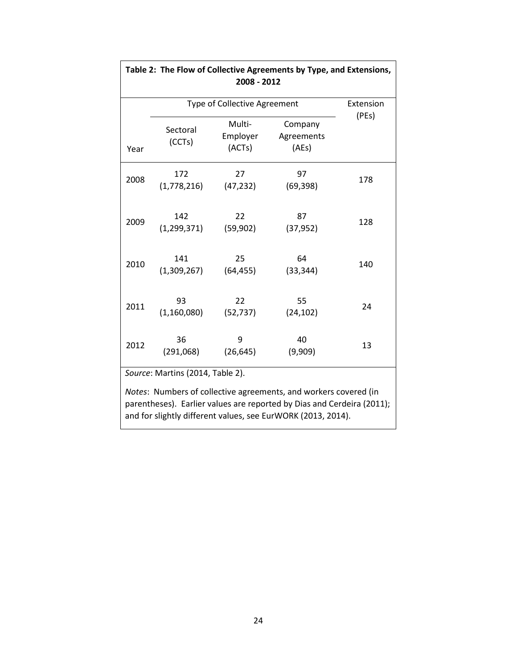|      | Type of Collective Agreement     | Extension                    |                                                                                                                                                                                                            |       |
|------|----------------------------------|------------------------------|------------------------------------------------------------------------------------------------------------------------------------------------------------------------------------------------------------|-------|
| Year | Sectoral<br>(CCTs)               | Multi-<br>Employer<br>(ACTs) | Company<br>Agreements<br>(AEs)                                                                                                                                                                             | (PEs) |
| 2008 | 172<br>(1,778,216)               | 27<br>(47, 232)              | 97<br>(69, 398)                                                                                                                                                                                            | 178   |
| 2009 | 142<br>(1, 299, 371)             | 22<br>(59, 902)              | 87<br>(37, 952)                                                                                                                                                                                            | 128   |
| 2010 | 141<br>(1,309,267)               | 25<br>(64, 455)              | 64<br>(33, 344)                                                                                                                                                                                            | 140   |
| 2011 | 93<br>(1, 160, 080)              | 22<br>(52, 737)              | 55<br>(24, 102)                                                                                                                                                                                            | 24    |
| 2012 | 36<br>(291,068)                  | 9<br>(26, 645)               | 40<br>(9,909)                                                                                                                                                                                              | 13    |
|      | Source: Martins (2014, Table 2). |                              |                                                                                                                                                                                                            |       |
|      |                                  |                              | Notes: Numbers of collective agreements, and workers covered (in<br>parentheses). Earlier values are reported by Dias and Cerdeira (2011);<br>and for slightly different values, see EurWORK (2013, 2014). |       |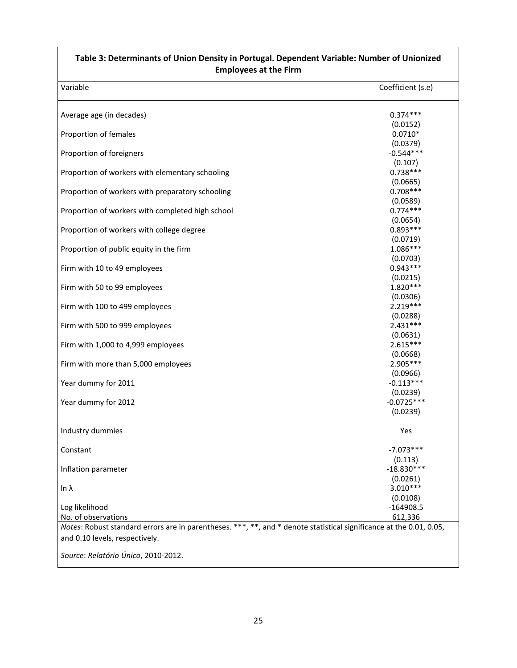| Table 3: Determinants of Union Density in Portugal. Dependent Variable: Number of Unionized<br><b>Employees at the Firm</b>                           |                                      |  |  |
|-------------------------------------------------------------------------------------------------------------------------------------------------------|--------------------------------------|--|--|
| Variable                                                                                                                                              | Coefficient (s.e)                    |  |  |
| Average age (in decades)                                                                                                                              | $0.374***$                           |  |  |
| Proportion of females                                                                                                                                 | (0.0152)<br>$0.0710*$                |  |  |
| Proportion of foreigners                                                                                                                              | (0.0379)<br>$-0.544***$              |  |  |
| Proportion of workers with elementary schooling                                                                                                       | (0.107)<br>$0.738***$                |  |  |
| Proportion of workers with preparatory schooling                                                                                                      | (0.0665)<br>$0.708***$               |  |  |
| Proportion of workers with completed high school                                                                                                      | (0.0589)<br>$0.774***$               |  |  |
| Proportion of workers with college degree                                                                                                             | (0.0654)<br>$0.893***$               |  |  |
| Proportion of public equity in the firm                                                                                                               | (0.0719)<br>1.086***                 |  |  |
| Firm with 10 to 49 employees                                                                                                                          | (0.0703)<br>$0.943***$               |  |  |
| Firm with 50 to 99 employees                                                                                                                          | (0.0215)<br>$1.820***$               |  |  |
| Firm with 100 to 499 employees                                                                                                                        | (0.0306)<br>$2.219***$               |  |  |
| Firm with 500 to 999 employees                                                                                                                        | (0.0288)<br>$2.431***$               |  |  |
| Firm with 1,000 to 4,999 employees                                                                                                                    | (0.0631)<br>$2.615***$               |  |  |
| Firm with more than 5,000 employees                                                                                                                   | (0.0668)<br>2.905 ***                |  |  |
| Year dummy for 2011                                                                                                                                   | (0.0966)<br>$-0.113***$              |  |  |
| Year dummy for 2012                                                                                                                                   | (0.0239)<br>$-0.0725***$<br>(0.0239) |  |  |
| Industry dummies                                                                                                                                      | Yes                                  |  |  |
| Constant                                                                                                                                              | $-7.073***$                          |  |  |
| Inflation parameter                                                                                                                                   | (0.113)<br>$-18.830***$              |  |  |
| In $\lambda$                                                                                                                                          | (0.0261)<br>$3.010***$               |  |  |
| Log likelihood<br>No. of observations                                                                                                                 | (0.0108)<br>$-164908.5$<br>612,336   |  |  |
| Notes: Robust standard errors are in parentheses. ***, **, and * denote statistical significance at the 0.01, 0.05,<br>and 0.10 levels, respectively. |                                      |  |  |
| Source: Relatório Único, 2010-2012.                                                                                                                   |                                      |  |  |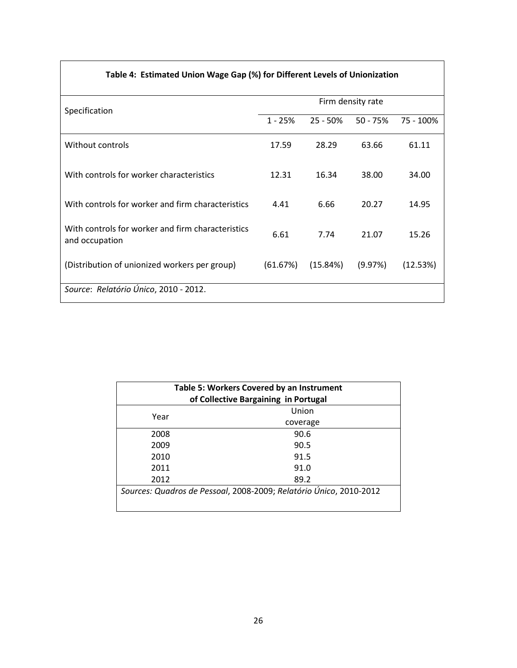| Table 4: Estimated Union Wage Gap (%) for Different Levels of Unionization |
|----------------------------------------------------------------------------|
|----------------------------------------------------------------------------|

| Specification                                                       | Firm density rate |             |            |           |  |  |
|---------------------------------------------------------------------|-------------------|-------------|------------|-----------|--|--|
|                                                                     | $1 - 25%$         | $25 - 50\%$ | $50 - 75%$ | 75 - 100% |  |  |
| Without controls                                                    | 17.59             | 28.29       | 63.66      | 61.11     |  |  |
| With controls for worker characteristics                            | 12.31             | 16.34       | 38.00      | 34.00     |  |  |
| With controls for worker and firm characteristics                   | 4.41              | 6.66        | 20.27      | 14.95     |  |  |
| With controls for worker and firm characteristics<br>and occupation | 6.61              | 7.74        | 21.07      | 15.26     |  |  |
| (Distribution of unionized workers per group)                       | (61.67%)          | (15.84%)    | (9.97%)    | (12.53%)  |  |  |
| Source: Relatório Único, 2010 - 2012.                               |                   |             |            |           |  |  |

| Table 5: Workers Covered by an Instrument<br>of Collective Bargaining in Portugal |                                                                    |  |  |  |
|-----------------------------------------------------------------------------------|--------------------------------------------------------------------|--|--|--|
| Year                                                                              | Union                                                              |  |  |  |
|                                                                                   | coverage                                                           |  |  |  |
| 2008                                                                              | 90.6                                                               |  |  |  |
| 2009                                                                              | 90.5                                                               |  |  |  |
| 2010                                                                              | 91.5                                                               |  |  |  |
| 2011                                                                              | 91.0                                                               |  |  |  |
| 2012                                                                              | 89.2                                                               |  |  |  |
|                                                                                   | Sources: Quadros de Pessoal, 2008-2009; Relatório Único, 2010-2012 |  |  |  |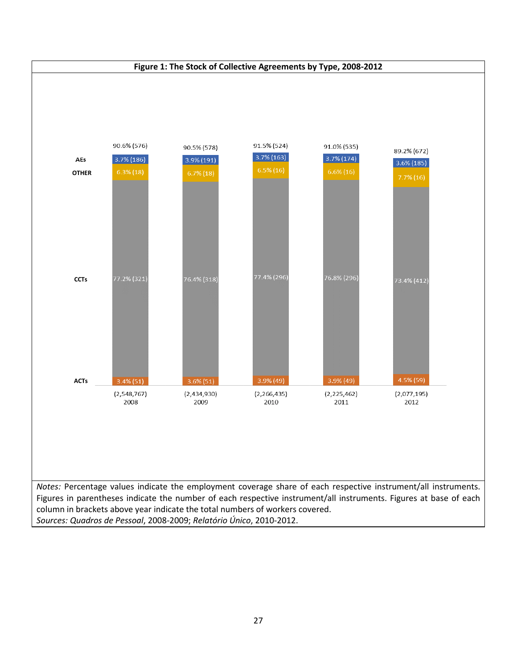